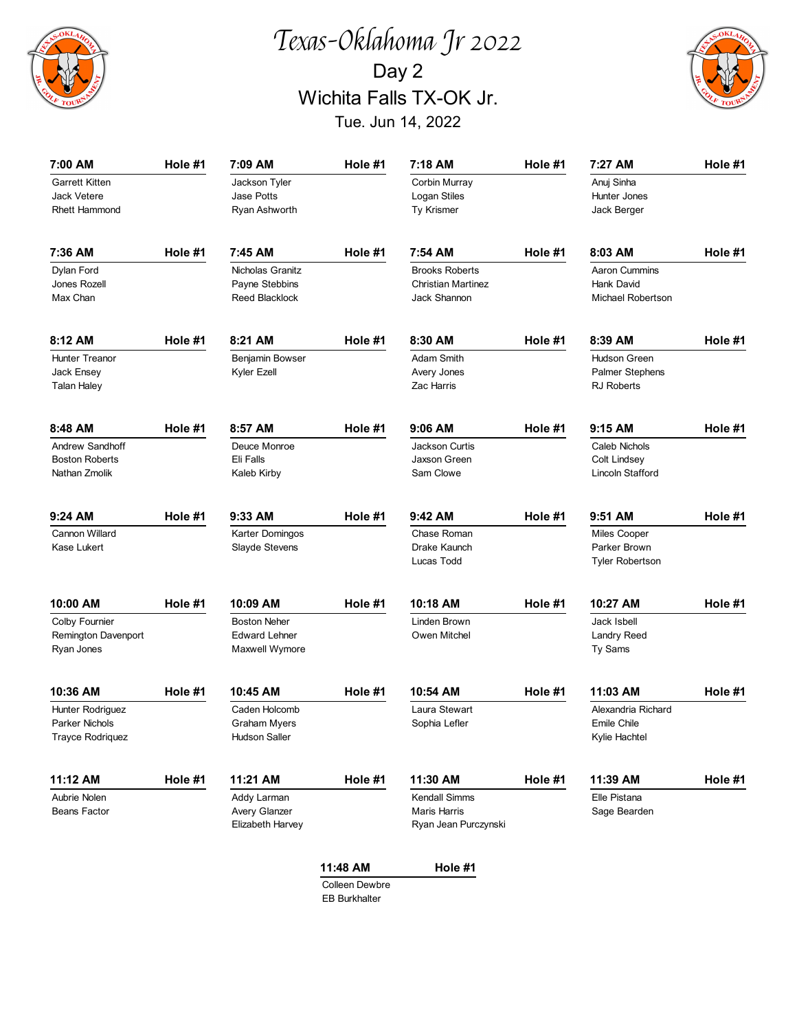

## Texas-Oklahoma Jr 2022 Day 2 Wichita Falls TX-OK Jr. Tue. Jun 14, 2022



| 7:00 AM                 | Hole #1 | 7:09 AM               | Hole #1  | 7:18 AM                   | Hole #1 | 7:27 AM                | Hole #1 |
|-------------------------|---------|-----------------------|----------|---------------------------|---------|------------------------|---------|
| <b>Garrett Kitten</b>   |         | Jackson Tyler         |          | Corbin Murray             |         | Anuj Sinha             |         |
| <b>Jack Vetere</b>      |         | Jase Potts            |          | Logan Stiles              |         | Hunter Jones           |         |
| Rhett Hammond           |         | Ryan Ashworth         |          | Ty Krismer                |         | Jack Berger            |         |
|                         |         |                       |          |                           |         |                        |         |
| 7:36 AM                 | Hole #1 | 7:45 AM               | Hole #1  | 7:54 AM                   | Hole #1 | 8:03 AM                | Hole #1 |
| Dylan Ford              |         | Nicholas Granitz      |          | <b>Brooks Roberts</b>     |         | Aaron Cummins          |         |
| Jones Rozell            |         | Payne Stebbins        |          | <b>Christian Martinez</b> |         | Hank David             |         |
| Max Chan                |         | <b>Reed Blacklock</b> |          | Jack Shannon              |         | Michael Robertson      |         |
| 8:12 AM                 | Hole #1 | 8:21 AM               | Hole #1  | 8:30 AM                   | Hole #1 | 8:39 AM                | Hole #1 |
| Hunter Treanor          |         | Benjamin Bowser       |          | Adam Smith                |         | Hudson Green           |         |
| Jack Ensey              |         | Kyler Ezell           |          | Avery Jones               |         | <b>Palmer Stephens</b> |         |
| <b>Talan Haley</b>      |         |                       |          | Zac Harris                |         | <b>RJ Roberts</b>      |         |
|                         |         |                       |          |                           |         |                        |         |
| 8:48 AM                 | Hole #1 | 8:57 AM               | Hole #1  | $9:06$ AM                 | Hole #1 | 9:15 AM                | Hole #1 |
| Andrew Sandhoff         |         | Deuce Monroe          |          | Jackson Curtis            |         | Caleb Nichols          |         |
| <b>Boston Roberts</b>   |         | Eli Falls             |          | Jaxson Green              |         | Colt Lindsey           |         |
| Nathan Zmolik           |         | Kaleb Kirby           |          | Sam Clowe                 |         | Lincoln Stafford       |         |
| 9:24 AM                 | Hole #1 | 9:33 AM               | Hole #1  | 9:42 AM                   | Hole #1 | 9:51 AM                | Hole #1 |
| Cannon Willard          |         | Karter Domingos       |          | Chase Roman               |         | Miles Cooper           |         |
| Kase Lukert             |         | Slayde Stevens        |          | Drake Kaunch              |         | Parker Brown           |         |
|                         |         |                       |          | Lucas Todd                |         | <b>Tyler Robertson</b> |         |
| 10:00 AM                | Hole #1 | 10:09 AM              | Hole #1  | 10:18 AM                  | Hole #1 | 10:27 AM               | Hole #1 |
| Colby Fournier          |         | <b>Boston Neher</b>   |          | Linden Brown              |         | Jack Isbell            |         |
| Remington Davenport     |         | <b>Edward Lehner</b>  |          | Owen Mitchel              |         | Landry Reed            |         |
| Ryan Jones              |         | Maxwell Wymore        |          |                           |         | Ty Sams                |         |
| 10:36 AM                | Hole #1 | 10:45 AM              | Hole #1  | 10:54 AM                  | Hole #1 | 11:03 AM               | Hole #1 |
| <b>Hunter Rodriguez</b> |         | Caden Holcomb         |          | Laura Stewart             |         | Alexandria Richard     |         |
| Parker Nichols          |         | Graham Myers          |          | Sophia Lefler             |         | Emile Chile            |         |
| <b>Trayce Rodriquez</b> |         | Hudson Saller         |          |                           |         | Kylie Hachtel          |         |
| 11:12 AM                | Hole #1 | 11:21 AM              | Hole #1  | 11:30 AM                  | Hole #1 | 11:39 AM               | Hole #1 |
| Aubrie Nolen            |         | Addy Larman           |          | Kendall Simms             |         | Elle Pistana           |         |
| Beans Factor            |         | Avery Glanzer         |          | Maris Harris              |         | Sage Bearden           |         |
|                         |         | Elizabeth Harvey      |          | Ryan Jean Purczynski      |         |                        |         |
|                         |         |                       |          |                           |         |                        |         |
|                         |         |                       | 11:48 AM | Hole #1                   |         |                        |         |

Colleen Dewbre EB Burkhalter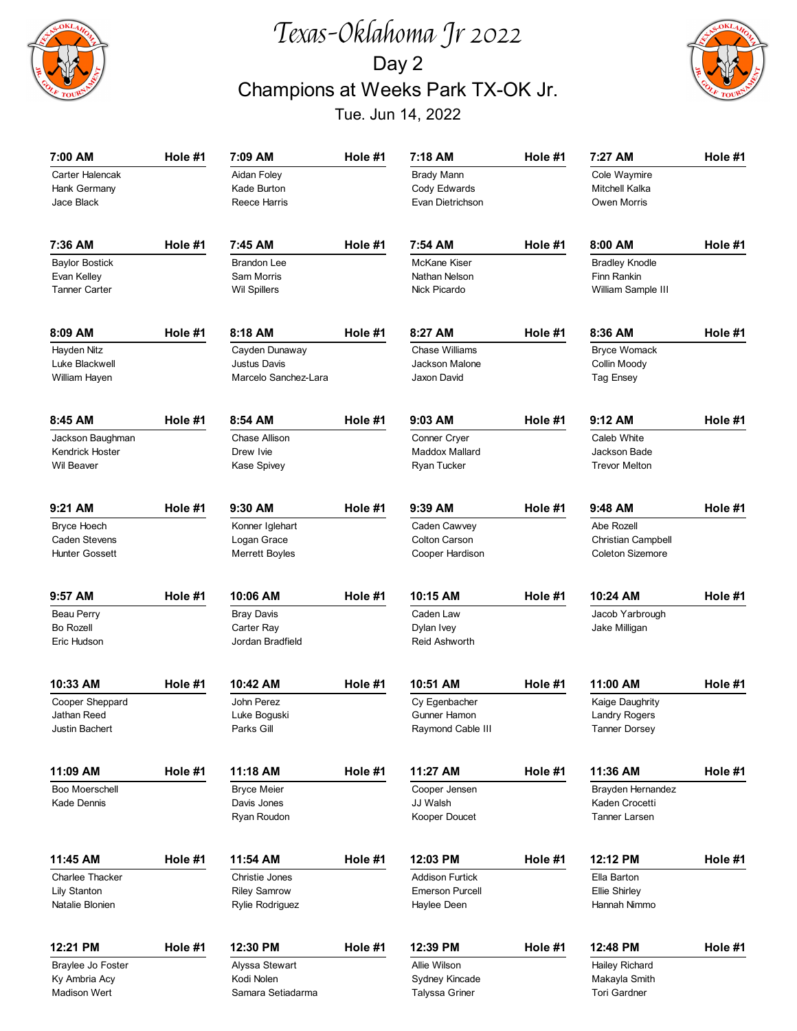

## Texas-Oklahoma Jr 2022 Day 2 Champions at Weeks Park TX-OK Jr. Tue. Jun 14, 2022



| 7:00 AM                                                      | Hole #1 | 7:09 AM                                                         | Hole #1 | 7:18 AM                                                         | Hole #1 | 7:27 AM                                                            | Hole #1 |
|--------------------------------------------------------------|---------|-----------------------------------------------------------------|---------|-----------------------------------------------------------------|---------|--------------------------------------------------------------------|---------|
| Carter Halencak<br>Hank Germany<br>Jace Black                |         | Aidan Foley<br>Kade Burton<br><b>Reece Harris</b>               |         | <b>Brady Mann</b><br>Cody Edwards<br>Evan Dietrichson           |         | Cole Waymire<br>Mitchell Kalka<br>Owen Morris                      |         |
| 7:36 AM                                                      | Hole #1 | 7:45 AM                                                         | Hole #1 | 7:54 AM                                                         | Hole #1 | 8:00 AM                                                            | Hole #1 |
| <b>Baylor Bostick</b><br>Evan Kelley<br><b>Tanner Carter</b> |         | <b>Brandon Lee</b><br>Sam Morris<br><b>Wil Spillers</b>         |         | <b>McKane Kiser</b><br>Nathan Nelson<br><b>Nick Picardo</b>     |         | <b>Bradley Knodle</b><br>Finn Rankin<br>William Sample III         |         |
| 8:09 AM                                                      | Hole #1 | 8:18 AM                                                         | Hole #1 | 8:27 AM                                                         | Hole #1 | 8:36 AM                                                            | Hole #1 |
| Hayden Nitz<br>Luke Blackwell<br>William Hayen               |         | Cayden Dunaway<br><b>Justus Davis</b><br>Marcelo Sanchez-Lara   |         | Chase Williams<br>Jackson Malone<br>Jaxon David                 |         | <b>Bryce Womack</b><br>Collin Moody<br>Tag Ensey                   |         |
| 8:45 AM                                                      | Hole #1 | 8:54 AM                                                         | Hole #1 | 9:03 AM                                                         | Hole #1 | $9:12$ AM                                                          | Hole #1 |
| Jackson Baughman<br>Kendrick Hoster<br>Wil Beaver            |         | Chase Allison<br>Drew Ivie<br>Kase Spivey                       |         | Conner Cryer<br>Maddox Mallard<br>Ryan Tucker                   |         | Caleb White<br>Jackson Bade<br><b>Trevor Melton</b>                |         |
| 9:21 AM                                                      | Hole #1 | 9:30 AM                                                         | Hole #1 | 9:39 AM                                                         | Hole #1 | 9:48 AM                                                            | Hole #1 |
| <b>Bryce Hoech</b><br>Caden Stevens<br><b>Hunter Gossett</b> |         | Konner Iglehart<br>Logan Grace<br><b>Merrett Boyles</b>         |         | Caden Cawvey<br><b>Colton Carson</b><br>Cooper Hardison         |         | Abe Rozell<br><b>Christian Campbell</b><br><b>Coleton Sizemore</b> |         |
| 9:57 AM                                                      | Hole #1 | 10:06 AM                                                        | Hole #1 | 10:15 AM                                                        | Hole #1 | 10:24 AM                                                           | Hole #1 |
| <b>Beau Perry</b><br>Bo Rozell<br>Eric Hudson                |         | <b>Bray Davis</b><br>Carter Ray<br>Jordan Bradfield             |         | Caden Law<br>Dylan Ivey<br>Reid Ashworth                        |         | Jacob Yarbrough<br>Jake Milligan                                   |         |
| 10:33 AM                                                     | Hole #1 | 10:42 AM                                                        | Hole #1 | 10:51 AM                                                        | Hole #1 | 11:00 AM                                                           | Hole #1 |
| Cooper Sheppard<br>Jathan Reed<br>Justin Bachert             |         | John Perez<br>Luke Boguski<br>Parks Gill                        |         | Cy Egenbacher<br>Gunner Hamon<br>Raymond Cable III              |         | Kaige Daughrity<br>Landry Rogers<br><b>Tanner Dorsey</b>           |         |
| 11:09 AM                                                     | Hole #1 | 11:18 AM                                                        | Hole #1 | 11:27 AM                                                        | Hole #1 | 11:36 AM                                                           | Hole #1 |
| Boo Moerschell<br>Kade Dennis                                |         | <b>Bryce Meier</b><br>Davis Jones<br>Ryan Roudon                |         | Cooper Jensen<br>JJ Walsh<br>Kooper Doucet                      |         | Brayden Hernandez<br>Kaden Crocetti<br>Tanner Larsen               |         |
| 11:45 AM                                                     | Hole #1 | 11:54 AM                                                        | Hole #1 | 12:03 PM                                                        | Hole #1 | 12:12 PM                                                           | Hole #1 |
| Charlee Thacker<br>Lily Stanton<br>Natalie Blonien           |         | Christie Jones<br><b>Riley Samrow</b><br><b>Rylie Rodriguez</b> |         | <b>Addison Furtick</b><br><b>Emerson Purcell</b><br>Haylee Deen |         | Ella Barton<br>Ellie Shirley<br>Hannah Nimmo                       |         |
| 12:21 PM                                                     | Hole #1 | 12:30 PM                                                        | Hole #1 | 12:39 PM                                                        | Hole #1 | 12:48 PM                                                           | Hole #1 |
| Braylee Jo Foster<br>Ky Ambria Acy<br>Madison Wert           |         | Alyssa Stewart<br>Kodi Nolen<br>Samara Setiadarma               |         | Allie Wilson<br>Sydney Kincade<br><b>Talyssa Griner</b>         |         | Hailey Richard<br>Makayla Smith<br>Tori Gardner                    |         |